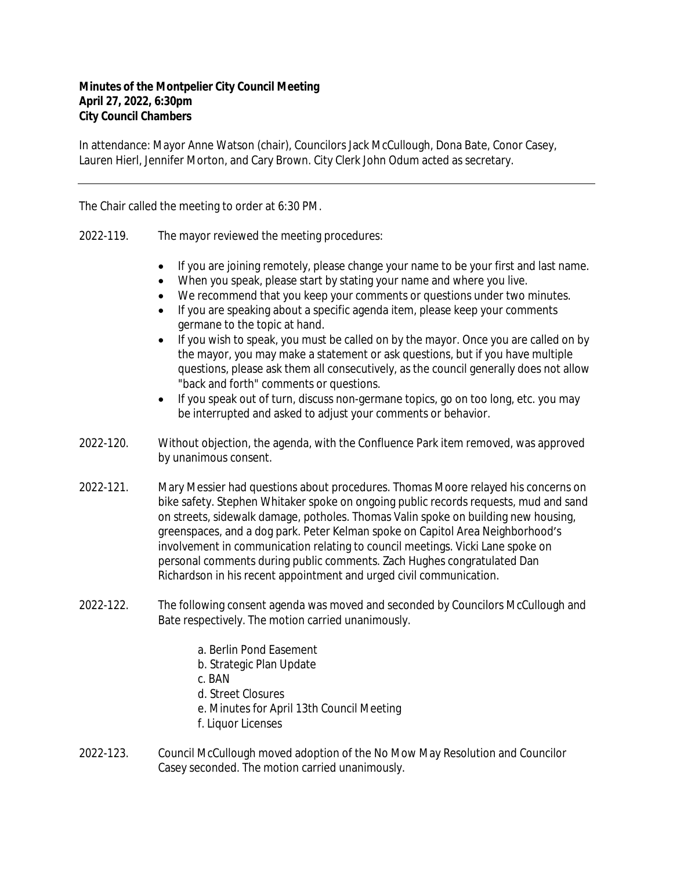## **Minutes of the Montpelier City Council Meeting April 27, 2022, 6:30pm City Council Chambers**

In attendance: Mayor Anne Watson (chair), Councilors Jack McCullough, Dona Bate, Conor Casey, Lauren Hierl, Jennifer Morton, and Cary Brown. City Clerk John Odum acted as secretary.

The Chair called the meeting to order at 6:30 PM.

- 2022-119. The mayor reviewed the meeting procedures:
	- If you are joining remotely, please change your name to be your first and last name.
	- When you speak, please start by stating your name and where you live.
	- We recommend that you keep your comments or questions under two minutes.
	- If you are speaking about a specific agenda item, please keep your comments germane to the topic at hand.
	- If you wish to speak, you must be called on by the mayor. Once you are called on by the mayor, you may make a statement or ask questions, but if you have multiple questions, please ask them all consecutively, as the council generally does not allow "back and forth" comments or questions.
	- If you speak out of turn, discuss non-germane topics, go on too long, etc. you may be interrupted and asked to adjust your comments or behavior.
- 2022-120. Without objection, the agenda, with the Confluence Park item removed, was approved by unanimous consent.
- 2022-121. Mary Messier had questions about procedures. Thomas Moore relayed his concerns on bike safety. Stephen Whitaker spoke on ongoing public records requests, mud and sand on streets, sidewalk damage, potholes. Thomas Valin spoke on building new housing, greenspaces, and a dog park. Peter Kelman spoke on Capitol Area Neighborhood's involvement in communication relating to council meetings. Vicki Lane spoke on personal comments during public comments. Zach Hughes congratulated Dan Richardson in his recent appointment and urged civil communication.
- 2022-122. The following consent agenda was moved and seconded by Councilors McCullough and Bate respectively. The motion carried unanimously.
	- a. Berlin Pond Easement
	- b. Strategic Plan Update
	- c. BAN
	- d. Street Closures
	- e. Minutes for April 13th Council Meeting
	- f. Liquor Licenses
- 2022-123. Council McCullough moved adoption of the No Mow May Resolution and Councilor Casey seconded. The motion carried unanimously.